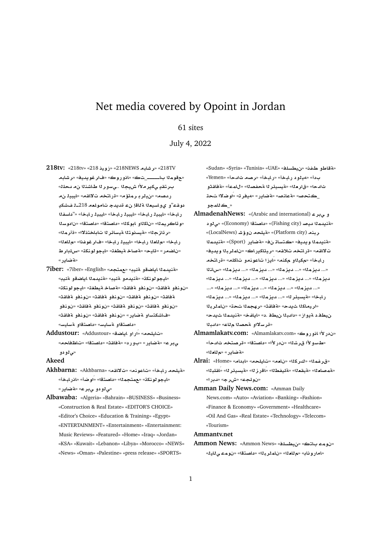# Net media covered by Opoint in Jordan

## 61 sites

## July 4, 2022

- **218tv:** «218tv» «218 **ywE**» «218NEWS **bAJr**» «218TV **bAJr**» «**yd§wr**» «**wC¤A**» «\_**þþþþþA mw**» ب<sub>ا</sub>ر تقدٍ يكير ملأا شيجلا ..يسور لـا طاشنـلا ن.م سحلك ر *دهدم» «ن.دا*ر دار ماتوًا م» «قر انتخام تالااقام» «ايبيال ن.م دوقـّ2<sup>3</sup>و يولسيعـنا ةناقإ نء قديدج تامولعم 218ـن فـشكيـ ر لبخأ» «ليبيد ر لبخأ» «ليبيد ر لبخأ» «ليبيد ر لبخأ» «<sup>«</sup>دلسفـدا «و تاكريم<sup>ز</sup>ا» «ناك<sup>ز</sup>او أبوكل<sup>ا» «</sup>داصتقا» «داصتقا» «نادوسنا «ر ئازجل<sup>»</sup> «ةيسنوتلا ةيسائر لا تاباختنلاا» «ةأرملا ر ابخا» «م<sup>ل</sup>املا ر ابخا» «ايبيلا ر ابخا» «فار غوغذا» «م<sup>ل</sup>املا «ناضمر» «قليح» «<mark>ةصاخ ةيطغة»</mark> «ليجو لونكة» «سلدار ط «**تضادر** »
- **7iber:** «7iber» «English» «**tm**» «**y·T ¤SA§A md§nT**» «ايجو لونكة» «قنيدمو قئيب» «قنيدملا اياضقو قئيب<sup>»</sup> «نونفو مقاقت» «نونفو مقاقته «مصاخ ميطغت» «ليجو لونكت» «**qAT ¤nw** » «**qAT ¤nw** » «**qAT ¤nw** » «**qAT** «نونفو ةفاقث» «نونفو ةفاقث» «نونفو ةفاقث» «نونفو «فاشكتساو ةضاير» «نونفو ةفاقث» «نونفو ةفاقث» «داصتقاو ة*سليس*» «داصتقاو ةسليس»
- **Addustour:** «Addustour» «**SA§A ¤CÁ**» «**lyA**» ي بر ع» «**4 ضاير » «بو ر د» «4فاق**ث» «داصتقا» «تاظفاحه» «*ی ڈو*دو

## **Akeed**

- **Akhbarna:** «Akhbarna» «**qA¯**» «**nwA**» «**bAC lyT**» «ل**يجو لونكة» «مهتجمل<sup>ا</sup>» «داصتقا» «اَو ضن**أ» «اذر ابخاً» «**ي** ڻو دو *يڊر* ع» «ةضاير »
- **Albawaba:** «Algeria» «Bahrain» «BUSINESS» «Business» «Construction & Real Estate» «EDITOR'S CHOICE» «Editor's Choice» «Education & Training» «Egypt» «ENTERTAINMENT» «Entertainment» «Entertainment: Music Reviews» «Featured» «Home» «Iraq» «Jordan» «KSA» «Kuwait» «Lebanon» «Libya» «Morocco» «NEWS» «News» «Oman» «Palestine» «press release» «SPORTS»

«Sudan» «Syria» «Tunisia» «UAE» «**Junisia» »** «Sudan» «Syria» بدأ» «ميلود رابخأ» «رابخأ» «رصه ثالدحأ» «Yemen» ثالدحا» «قار ملاً» «قيسيئر لا قحفصل<sup>ا</sup>ً» «لاً)» «قفاقذو حـةحصـ» «aعانصـ» «aطاير » «هيـفر تـ» «ا**و ضلاا ت**حـة **¤mA**\_»

- **AlmadenahNews:** «(Arabic and international) **r¨ ¤** «قنيدم**ن**ا ديصر (Fishing city)» «داصتقا (Economy)» «ي لو د «(LocalNews) **J¥¤ lyT**» «(Platform city) **nbr** «هنيدم**دا وي**ديغ» «كتساتـن؋» «aظاير (Sport®» «هنيدم**دا** «**yd§w brmA** » «**AC§kAyr**» «**q® tAC**» «**qA¯** ر ابخأ» «مكيلاو مكنه» «ايزا تاعونمو تاكله» «ةر اتخه **nAx**» «**mz§d** ...» «**mz§d** ...» «**mz§d** ...» «**mz§d** ...» «**mz§d** ...» «**mz§d** ...» «**mz§d** ...» «**mz§d** ...» «**mz§d** ...» «**mz§d** ...» «**mz§d** ...» «**mz§d** ...» «**mz§d** ...» «**mz§d** ...» «**mz§d** ...» «**mz§d** ...» «**r¶ysyT**» «**bAC** «اريماكلا شيدح» «aقاقتْ» «رهجملا تحدّ» «ناملربلا «**d§ md§nT**» «**fA§A**» «. **Wy bd** » «**E¤§T** .**Wy** «قرسلااو قحصنا م*ث*اع» «دالبنا
- Almamlakatv.com: «Almamlakatv.com» «ن در لأا انو روك» «طاسو لأا قرشله» «ندر لأا» «داصتقه» «قرصتخه ثالدحأ» «**مة ضاير » «م للعن**ا»
- **Alrai:** «Home» «**A A**» «**lyA**» «**`A** » «**kr**» «**mfr**» «همصادنا» «هيقدنا» «هليفطنا» «اقراز نا» «هيسيئر نا» «اَقلينا» «**نولج**ع» «شرج» «دبرا»
- **Amman Daily News.com:** «Amman Daily News.com» «Auto» «Aviation» «Banking» «Fashion» «Finance & Economy» «Government» «Healthcare» «Oil And Gas» «Real Estate» «Technology» «Telecom» «Tourism»

### **Ammantv.net**

**Ammon News:** «Ammon News» «**lsWy**» «**tA mw** » «امار و ناد» «م للعلا» «ناملر بلا» «داصتقا» «نومت *ی ت*ابل»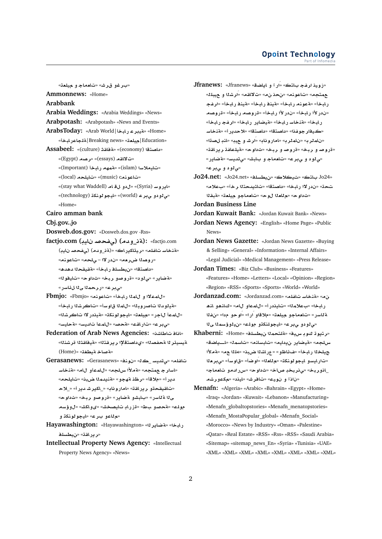#### **Opoint Technology** Part of Infomed

«برغو قرش» «تا<del>م</del>ماجـ و م<sub>ا</sub>يلعـّ» **Ammonnews:** «Home» **Arabbank**

**Arabia Weddings:** «Arabia Weddings» «News»

- **Arabpotash:** «Arabpotash» «News and Events»
- **ArabsToday:** «Arab World|**bAC ryT**» «Home» «**bACAlT**|Breaking news» «**`ly**|Education»
- Assabeel: «(culture) » «تفاقد (economy) **Assabeel:** «(Egypt) **Or**» «(essays) **qA¯**»
	- «ت**ايملاس**ا (islam)» «قمهم رابخاً (Important)» «(local) **lyA**» «(music) c**nwA**» «ايروسه (Syria)» «ل دو ل**i** هام (stay what Waddell)»
	- «(technology) **knwwyA**» «(world) **r¨ ¤ ¤¨**» «Home»
- **Cairo amman bank**

**Cbj.gov..jo**

- **Dosweb.dos.gov:** «Dosweb.dos.gov -Rss»
- **factjo.com (yA }f¨) (d¤\_T):** «factjo.com «هنخا*س* تافله» «ريتاكيراك» «(ةن\_ودم) (يفحص نايب) «**روصل**ا ضر.هه» «ندر لاا – ىلحه» «تاعونه» «داصتقا» «نيطسلف رابخأ» «ةقيقحلا دهده» «**لة ضادر » «ي نو د» «ةر و صدو بر بخ» «ت داو حه «تايفو نا»** «**صبر ع» «رار حمل**ا ی1ا ل ئاسر »
- **Fbmjo:** «Fbmjo» «**nwA**» «**bAC mA ¤ ¯mA**» «هَدِلو دِلا تاصر وِ دِل<sup>ا»</sup> «لِإِعِدَا قِ1و سِهْ» «تاكر شِلا رِ إِيجْهُ» «للمءاً للجر» «ميلعة» «ليجو لونكة» «فيذدر لاا تناكرشلا» «**بي بر ع» «تار اقت» «ةحصه «للمثأ ت**الديسه «<mark>ةحايس</mark>»
- **Federation of Arab News Agencies:** «**KAVA AA**» ةبسيئر 11 **محفصد**له «ىداصتقلإا ر بر قتله» «مقيفاقشلا قر شنله» «**A** صاخ ةيطغت» «(Home)
- **Gerasanews:** «Gerasanews» «**nw** » «\_ **Fyd¨**» «**lfA** «اسار جـ عمتحم» «ةملأا سLحم» «للمعأو الله» «قنخاسا «**lyA**» «**b{ md§nT**» «**¤hT \r**» «**®**» «**C§d ®**\_» «**C§d Jr§kA**\_» «**AwCA**» «**qAC§r ¤qyqA**» ى1 **¤ ٽاسر » «بابشو ةضاير » «ةروصو ربخ» «ثداوح»** مولم» «قحصو بط» «قزراب تايصخش» «ىولكش» «ل.وؤسم «**م**لاعو برع» «ايجولونكڌ و

**Hayawashington:** «Hayawashington» «**r§ART**» «**bAC** «**ر در اقت» «ن بطسل**ف

**Intellectual Property News Agency:** «Intellectual Property News Agency» «News»

«زويذ ارفج باتك» «اَر آ و اياضة» «Jfranews» «<br>« «**lby ¤ KrÁ**» «**qA¯**» «» «**nwA**» «**tm fr**» «**bAC nyT**» «**bAC nyT**» «**bAC nwT**» «**bAC** «ندر لأا رابخاً» «ندر لأا رابخاً» «قروصه رابخاً» «قروصه رابخأ» «قنخاسـرابخأ» «قيضاير رابخأ» «ارغجـرابخأ» «كيفار جوغذا» «**داصتقا» «داصتقا» «لاحددر أ» «ةنخاس** «**O nA**» «**y ¤ JrÁ**» «**AwCA**» «**rmA** » «**rmA** » «قروصاو ربخ» «قروصاو ربخ» «<mark>ثاداوح» «ةيلعافة ريراقة»</mark> «<u>ي</u> لو د و ي بر ع» «تاھماج و بابش» «ي تديسه «ةضاير » «*س ڈو د و* پیبر عه

**Jo24.net:** «Jo24.net» «**lsWy**» «**®y** » «**tA**  Jo24» تحة» «ندر لاا رابخا» «داصتقا» «تاشيدحتلا رخآ» «بعلام» «ثداو ح» «م للعلا ل0و ح» «تلعماجو ميلعة» «مُبقلا

**Jordan Business Line**

**Jordan Kuwait Bank:** «Jordan Kuwait Bank» «News» **Jordan News Agency:** «English» «Home Page» «Public News»

- **Jordan News Gazette:** «Jordan News Gazette» «Buying & Selling» «General» «Information» «Internal Affairs» «Legal Judicial» «Medical Management» «Press Release»
- **Jordan Times:** «Biz Club» «Business» «Features» «Features» «Home» «Letters» «Local» «Opinion» «Region» «Region» «RSS» «Sports» «Sports» «World» «World»
- **Jordanzad.com:** «Jordanzad.com» «**lfA FAnT**» « **¡nA ¤¡nA**» «**A ¤mA**» «**C yA**» «**m®** » «**bAC f**» « **¤wÁ**» «**CÁ ¤®**» «**`ly ¤A`A**» «**CFAT Y ms¥¤y**» «**lw ¤knlwyA**» «**r¨ ¤ ¤¨**»
- **Khaberni:** «Home» «**lsWy mtlT**» «**yH w w§tr**» س/لجه» «نةيضاير ن1دايم» «تابسلنم» «تاسمك «اـــياضة» **±T**» « **l¢**» «**b{ KAC**» «**¤ZA¶**» «**bAC ly** «تار ليسو ليجو لونكة» «م†لعل<sup>ل</sup>» «او ضل<sup>ة»</sup> «قاوسة» «ىبر ملا ـاذوربخ» «ي نربخد صاخ» «ثداوح» «س رادمو تامماج» «ناذآ و نويك» «تافرش» «ايذد» «مكعورشه
- **Menafn:** «Algeria» «Arabic» «Bahrain» «Egypt» «Home» «Iraq» «Jordan» «Kuwait» «Lebanon» «Manufacturing» «Menafn\_globaltopstories» «Menafn\_menatopstories» «Menafn\_MostaPopular\_global» «Menafn\_Social» «Morocco» «News by Industry» «Oman» «Palestine» «Qatar» «Real Estate» «RSS» «Rss» «RSS» «Saudi Arabia» «Sitemap» «sitemap\_news\_En» «Syria» «Tunisia» «UAE» «XML» «XML» «XML» «XML» «XML» «XML» «XML» «XML»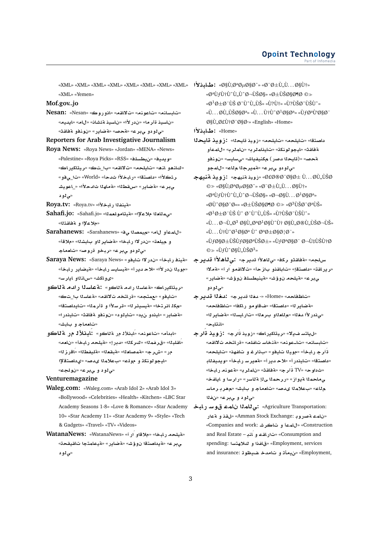«XML» «XML» «XML» «XML» «XML» «XML» «XML» «XML» **· مطابدلاً ا** $\cdot$  و «Ø§Ù',تصاد» » » » بان» «XML» «XML» «XML» «XML» «Yemen»

# **Mof.gov..jo**

**Nesan:** «Nesan» «**wC¤A**» «**qA¯**» «**nwA**» «**nAFbA**» «ناسيذ ةأر ما» «ندر لأا» «ناسيذ ةئشان» «لام» «ايديمه «می لو دو میدر ع» «**تحصه «ةضابر » «نونفو تقفاق**ت»

**Reporters for Arab Investigative Journalism**

- **Roya News:** «Roya News» «Jordan» «MENA» «News» «Palestine» «Roya Picks» «RSS» «**lsWy**» «**yd§w**» «كانمو انم» «تايلحم» «تالالقم» «با\_تك» «ريتاكيراك» ر شكلاًا» «داصتقا» «رابخلاًا ثدحاً» «World» «تا<sub>ل</sub>ى فو » **JywA**\_» «**±d hAT**» «**WqH**» «**C§ART**» «**r¨** «*ی ڈو* د
- **Roya.tv:** «Roya.tv» «**±bAC fnyT**»
- Sahafi.jo: «Sahafi.jo» «تيتامولعملك» Sahafi.jo: «ملاعلاً و aقاقشلا»
- **Sarahanews:** «Sarahanews» «**¨ Omy**» «**A ¤mA**» و ميلعة» «ندر لاا رـابـخا» «**ةضاير ن**او بـابشنا» «ملاقأ» «*ق قو دو ي بر ع»* «ربخو قروصه» «تاھماج
- «مقين**ف رابخا» «ن در لا تايفو» «Saraya News »** «Saraya News» «موينا ندر لأا» «لاحـديرا» «قيسليسـرلبخا» «قيضاير\_رلبخا» «*ی و* اکش» «سائداو ایار سه
- «بريتاكدر اك» «aعاسنا رادم قناكو» : a عاسنا رادم قناكو «تايفو» «عمتجم» «ةر اتخه ت¥اقم» «ةعاسلا با\_تك» «هك*ذ*ائر تخا» «قسيئر نا» «قر سلأا و اقرْ مِنا» «تابداصتقا» «**قضاير» «ليذدو ن**يد» «تايلود» «نونفو قفلقثه «تايذدرا» «<mark>تامەماج</mark> و بابش»
- «ابدأم» «تاعونم» «ابنلأل<sub>ه (د</sub> ةلاكو». :ابنلألـ م ر نة **ل**اكو «باقلبـ1» «ق.ر غـمـ1» «كـر كـ11» «د.رر إ» «ةيـلـحـمـ ر لبـخـأ» «نLعـم» «**zCAÁ**» «**WfylT**» «**`qbT**» «**`A}mT**» «**rM**» «**C** «ايجو لونكة و مول<sub>ك</sub>» «بعلامة يدصه» «ىداصتقلاًا «*ق او د و ق بر ع»* «نولجت*»*

#### **Venturemagazine**

- **Waleg.com:** «Waleg.com» «Arab Idol 2» «Arab Idol 3» «Bollywood» «Celebrities» «Health» «Kitchen» «LBC Star 10» «Star Academy 11» «Star Academy 9» «Style» «Tech & Gadgets» «Travel» «TV» «Videos»
- WatanaNews: «WatanaNews» «**ACAD ACTIVE** ىبر ع» «**قيداصت**قا نوؤش» «**قضاير» «قيعامتجا تاقيقح**ت» «ي **د**و د

«ØªÙfÙ†Ù^Ù"Ù^جيا» «Ø±ÙŠØ§Ø¶Ø ©» «Ø1Ø±بي دولي» «Ù?Ù†» «Ù?يديو»  $\langle \hat{U}, \ldots \hat{U}, \hat{U}, \hat{U} \rangle$ ŠØ§Ø $a_{\lambda}$ «Ù $\ldots \hat{U}$ †Ù $\hat{U} \hat{U} \hat{U} \hat{U}$  $\hat{U}$ gsø $\hat{U}$ الأنباط» «English» «Home»

**±bAª:** «Home»

- داصتقا» «تايلحه» «تايلحه» «زويد قليحلا» : زومد قليحلا **¤mA**» «**rmA** » «**rmAyA**» «**knwwyA**» «**qAT ¤nw** » «**FyAF¨**» «**JA§fynk** (**C}d yA**)» «**}T ¤mA**» «**A r§mT**» «**r¨ ¤ ¤¨**»
- **hynT ywE:** «**hynT ywE**» «أخØ¨اØ<sup>±</sup> Ù. . . <sup>Ø</sup>Ù"ÙSˇ<sup>Ø</sup>  $\circledcirc\gg\ll\varphi$ §Ù,تØ $\mu$ اد» $\ll\varphi\gg\chi$ D $\pm$ Ù,,Ù...اÙ†» «ØªÙƒÙ†ÙˆÙ"ÙˆØ¬يا» «Ø¬اÙ. . . Ø1ات»  $\omega$ @vosg- $\omega$  .  $\omega$ ±ùšøsø¶ø  $\omega \gg \omega$ 3ùšø-ø $\omega$ is»  $\mathscr{A}^1 \emptyset \pm \emptyset$  từ v  $\emptyset$  từ từ từ sa kỳ?từ v »  $\langle \dot{U}, \dot{U}, \dot{\mathcal{O}} \rangle = 0$  os  $\dot{U}, \dot{\mathcal{O}}^3$  os  $\dot{U} \gamma \dot{\mathcal{O}}$  os  $\dot{U}, \dot{\mathcal{O}}$  ob  $\dot{U}, \dot{U}$  is  $\dot{\mathcal{O}}$  $\langle \ddot{u} \ddot{u} \cdot \ddot{u} \cdot \ddot{u} \rangle = 0$  $\ddot{\psi}$ t $\ddot{\psi}$ sos $\ddot{\psi}$ toso $\ddot{\psi}$ y wa kuto $\ddot{\psi}$ angson Ø $\nabla$ ©≫ «ÙƒÙ^اÙ"ÙŠØ<sup>3</sup>»
- سلجه» «ةفاقثو ركف<sup>ه </sup>«ى<sup>ل</sup>اھلأا قديرج» **:يلاھلأا قدير ج** «ر ير اقة» «داصتقإ» «تـاباقذو بـاز حـأ» «تـلااقـمـو ار آ» «ةمـلاا «**C§ART**» «**J¥¤ lsWynyT**» «**J¥¤ lyT**» «**r¨** «پي **ت**و دو
- «تاظفاحه» «Home» «- مغلا قدير ج» **: مغلا قدير ج** «**Aهاب ل**ا» «داصتقا» «فقاومو راكفا» «تاظفاجم» «ي ندر لأا مغل<sup>ا» «</sup>م للعلاو بر عل<sup>ا» «ت</sup>ار ايسل<sup>ا» «</sup>a`ضاير لـا» «**انتاي**ح»
- **rÁ ywE:** «**rÁ ywE**» «**AC§kAyr**» «**¯§ FtA§**» «تابسانه» «تا-عونه» «مةخاس تاغله» «قر اتخه تلااقه» «**lyA**» «**hfA ¤ r¶** » «**¤yA yw**» «**bAC rÁ** «داصتقا» «تايذدر أ» «لاحـدير أ» «قعير *سـر*ابخأ» «ويديفـثابـ «**bAC nwT**» «**rmA** » «**qAT**» «**rÁ** TV» «**w** » ى ماحمدًا ةيواز» «ررحمدًا ي1ًإ ةناسر» «رارسا و ايافخ» م!اع» «ب£لام!ا ىدصه «تا**م**ماجاو بابشه «مهر بـ راماسا «*ق 1*و د و *ق بر ع»* «نفلا
- Academy Seasons 1-8» «Love & Romance» «Star Academy **bAC Fw mA mA¨:** «Agriculture Transportation: **CT ¤ q**» «Amman Stock Exchange: **wC}T mA** » «Companies and work: **JrA ¤ mA**» «Construction and Real Estate – **nAÁ ¤ qAC**» «Consumption and spending: **Fth® ¤ fA**» «Employment, services and insurance: **سنيمات و تامدخ مفيظو تـ and insurance:**